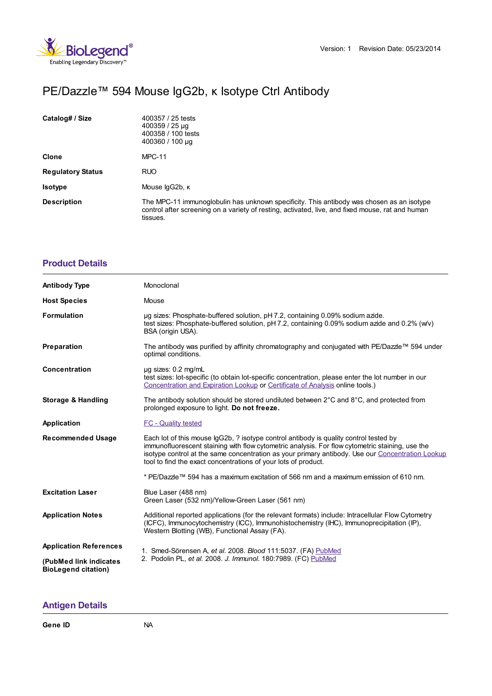

## PE/Dazzle™ 594 Mouse IgG2b, κ Isotype Ctrl Antibody

| Catalog# / Size          | 400357 / 25 tests<br>$400359 / 25 \mu$ g<br>400358 / 100 tests<br>$400360 / 100 \mu$ g                                                                                                                    |
|--------------------------|-----------------------------------------------------------------------------------------------------------------------------------------------------------------------------------------------------------|
| <b>Clone</b>             | <b>MPC-11</b>                                                                                                                                                                                             |
| <b>Regulatory Status</b> | <b>RUO</b>                                                                                                                                                                                                |
| <b>Isotype</b>           | Mouse lgG2b, K                                                                                                                                                                                            |
| <b>Description</b>       | The MPC-11 immunoglobulin has unknown specificity. This antibody was chosen as an isotype<br>control after screening on a variety of resting, activated, live, and fixed mouse, rat and human<br>tissues. |

## **[Product](https://production-dynamicweb.biolegend.com/it-it/products/pe-dazzle-594-mouse-igg2b-kappa-isotype-ctrl-9813?pdf=true&displayInline=true&leftRightMargin=15&topBottomMargin=15&filename=PE/Dazzle%EF%BF%BD%EF%BF%BD%EF%BF%BD 594 Mouse IgG2b, %EF%BF%BD%EF%BF%BD Isotype Ctrl Antibody.pdf#productDetails) Details**

| <b>Antibody Type</b>                                 | Monoclonal                                                                                                                                                                                                                                                                                                                                                     |
|------------------------------------------------------|----------------------------------------------------------------------------------------------------------------------------------------------------------------------------------------------------------------------------------------------------------------------------------------------------------------------------------------------------------------|
| <b>Host Species</b>                                  | Mouse                                                                                                                                                                                                                                                                                                                                                          |
| <b>Formulation</b>                                   | ug sizes: Phosphate-buffered solution, pH 7.2, containing 0.09% sodium azide.<br>test sizes: Phosphate-buffered solution, pH 7.2, containing 0.09% sodium azide and 0.2% (w/v)<br>BSA (origin USA).                                                                                                                                                            |
| Preparation                                          | The antibody was purified by affinity chromatography and conjugated with PE/Dazzle™ 594 under<br>optimal conditions.                                                                                                                                                                                                                                           |
| <b>Concentration</b>                                 | $\mu$ g sizes: 0.2 mg/mL<br>test sizes: lot-specific (to obtain lot-specific concentration, please enter the lot number in our<br>Concentration and Expiration Lookup or Certificate of Analysis online tools.)                                                                                                                                                |
| <b>Storage &amp; Handling</b>                        | The antibody solution should be stored undiluted between $2^{\circ}$ C and $8^{\circ}$ C, and protected from<br>prolonged exposure to light. Do not freeze.                                                                                                                                                                                                    |
| Application                                          | <b>FC</b> - Quality tested                                                                                                                                                                                                                                                                                                                                     |
| <b>Recommended Usage</b>                             | Each lot of this mouse IgG2b, ? isotype control antibody is quality control tested by<br>immunofluorescent staining with flow cytometric analysis. For flow cytometric staining, use the<br>isotype control at the same concentration as your primary antibody. Use our Concentration Lookup<br>tool to find the exact concentrations of your lots of product. |
|                                                      | * PE/Dazzle™ 594 has a maximum excitation of 566 nm and a maximum emission of 610 nm.                                                                                                                                                                                                                                                                          |
| <b>Excitation Laser</b>                              | Blue Laser (488 nm)<br>Green Laser (532 nm)/Yellow-Green Laser (561 nm)                                                                                                                                                                                                                                                                                        |
| <b>Application Notes</b>                             | Additional reported applications (for the relevant formats) include: Intracellular Flow Cytometry<br>(ICFC), Immunocytochemistry (ICC), Immunohistochemistry (IHC), Immunoprecipitation (IP),<br>Western Blotting (WB), Functional Assay (FA).                                                                                                                 |
| <b>Application References</b>                        | 1. Smed-Sörensen A, et al. 2008. Blood 111:5037. (FA) PubMed<br>2. Podolin PL, et al. 2008. J. Immunol. 180:7989. (FC) PubMed                                                                                                                                                                                                                                  |
| (PubMed link indicates<br><b>BioLegend citation)</b> |                                                                                                                                                                                                                                                                                                                                                                |

## **[Antigen](https://production-dynamicweb.biolegend.com/it-it/products/pe-dazzle-594-mouse-igg2b-kappa-isotype-ctrl-9813?pdf=true&displayInline=true&leftRightMargin=15&topBottomMargin=15&filename=PE/Dazzle%EF%BF%BD%EF%BF%BD%EF%BF%BD 594 Mouse IgG2b, %EF%BF%BD%EF%BF%BD Isotype Ctrl Antibody.pdf#antigenDetails) Details**